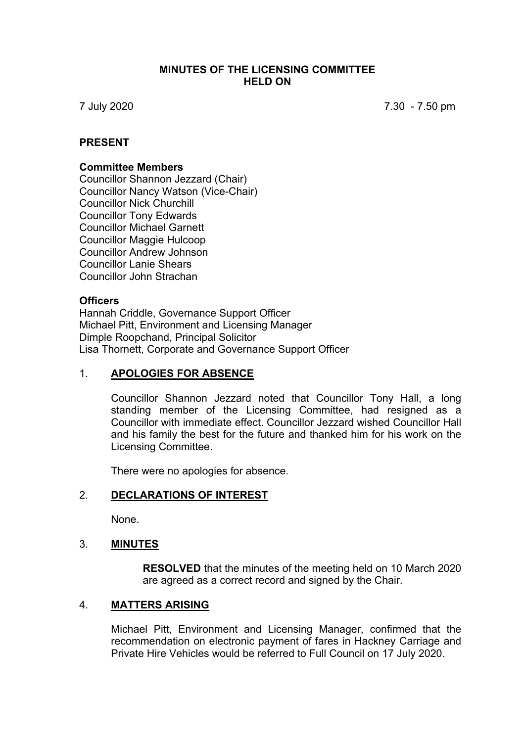#### **MINUTES OF THE LICENSING COMMITTEE HELD ON**

7 July 2020 7.30 - 7.50 pm

### **PRESENT**

#### **Committee Members**

Councillor Shannon Jezzard (Chair) Councillor Nancy Watson (Vice-Chair) Councillor Nick Churchill Councillor Tony Edwards Councillor Michael Garnett Councillor Maggie Hulcoop Councillor Andrew Johnson Councillor Lanie Shears Councillor John Strachan

#### **Officers**

Hannah Criddle, Governance Support Officer Michael Pitt, Environment and Licensing Manager Dimple Roopchand, Principal Solicitor Lisa Thornett, Corporate and Governance Support Officer

### 1. **APOLOGIES FOR ABSENCE**

Councillor Shannon Jezzard noted that Councillor Tony Hall, a long standing member of the Licensing Committee, had resigned as a Councillor with immediate effect. Councillor Jezzard wished Councillor Hall and his family the best for the future and thanked him for his work on the Licensing Committee.

There were no apologies for absence.

#### 2. **DECLARATIONS OF INTEREST**

None.

#### 3. **MINUTES**

**RESOLVED** that the minutes of the meeting held on 10 March 2020 are agreed as a correct record and signed by the Chair.

#### 4. **MATTERS ARISING**

Michael Pitt, Environment and Licensing Manager, confirmed that the recommendation on electronic payment of fares in Hackney Carriage and Private Hire Vehicles would be referred to Full Council on 17 July 2020.